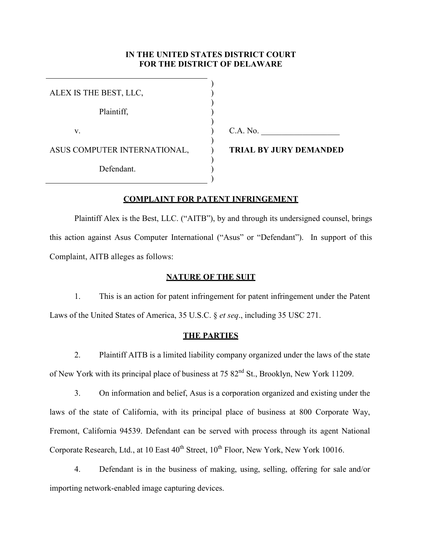# **IN THE UNITED STATES DISTRICT COURT FOR THE DISTRICT OF DELAWARE**

) ) ) ) ) ) ) ) ) ) )

| ALEX IS THE BEST, LLC,       |
|------------------------------|
| Plaintiff,                   |
| V.                           |
| ASUS COMPUTER INTERNATIONAL, |
| Defendant.                   |

 $C.A. No.$ 

**TRIAL BY JURY DEMANDED** 

# **COMPLAINT FOR PATENT INFRINGEMENT**

Plaintiff Alex is the Best, LLC. ("AITB"), by and through its undersigned counsel, brings this action against Asus Computer International ("Asus" or "Defendant"). In support of this Complaint, AITB alleges as follows:

# **NATURE OF THE SUIT**

1. This is an action for patent infringement for patent infringement under the Patent Laws of the United States of America, 35 U.S.C. § *et seq*., including 35 USC 271.

### **THE PARTIES**

2. Plaintiff AITB is a limited liability company organized under the laws of the state of New York with its principal place of business at 75  $82<sup>nd</sup>$  St., Brooklyn, New York 11209.

3. On information and belief, Asus is a corporation organized and existing under the laws of the state of California, with its principal place of business at 800 Corporate Way, Fremont, California 94539. Defendant can be served with process through its agent National Corporate Research, Ltd., at  $10$  East  $40^{th}$  Street,  $10^{th}$  Floor, New York, New York 10016.

4. Defendant is in the business of making, using, selling, offering for sale and/or importing network-enabled image capturing devices.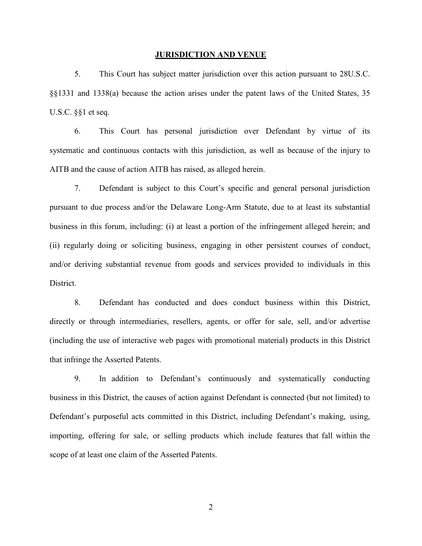#### **JURISDICTION AND VENUE**

5. This Court has subject matter jurisdiction over this action pursuant to 28U.S.C. §§1331 and 1338(a) because the action arises under the patent laws of the United States, 35 U.S.C. §§1 et seq.

6. This Court has personal jurisdiction over Defendant by virtue of its systematic and continuous contacts with this jurisdiction, as well as because of the injury to AITB and the cause of action AITB has raised, as alleged herein.

7. Defendant is subject to this Court's specific and general personal jurisdiction pursuant to due process and/or the Delaware Long-Arm Statute, due to at least its substantial business in this forum, including: (i) at least a portion of the infringement alleged herein; and (ii) regularly doing or soliciting business, engaging in other persistent courses of conduct, and/or deriving substantial revenue from goods and services provided to individuals in this District.

8. Defendant has conducted and does conduct business within this District, directly or through intermediaries, resellers, agents, or offer for sale, sell, and/or advertise (including the use of interactive web pages with promotional material) products in this District that infringe the Asserted Patents.

9. In addition to Defendant's continuously and systematically conducting business in this District, the causes of action against Defendant is connected (but not limited) to Defendant's purposeful acts committed in this District, including Defendant's making, using, importing, offering for sale, or selling products which include features that fall within the scope of at least one claim of the Asserted Patents.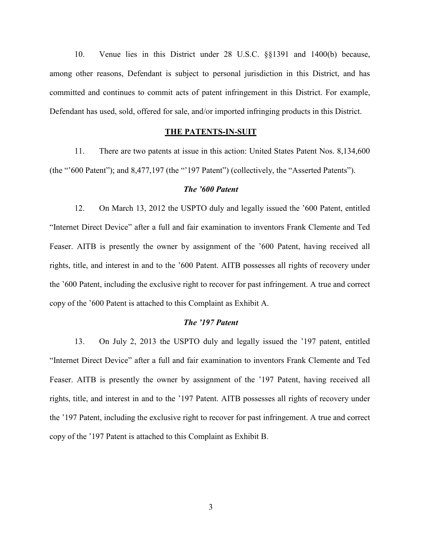10. Venue lies in this District under 28 U.S.C. §§1391 and 1400(b) because, among other reasons, Defendant is subject to personal jurisdiction in this District, and has committed and continues to commit acts of patent infringement in this District. For example, Defendant has used, sold, offered for sale, and/or imported infringing products in this District.

### **THE PATENTS-IN-SUIT**

11. There are two patents at issue in this action: United States Patent Nos. 8,134,600 (the "'600 Patent"); and 8,477,197 (the "'197 Patent") (collectively, the "Asserted Patents").

### *The '600 Patent*

12. On March 13, 2012 the USPTO duly and legally issued the '600 Patent, entitled "Internet Direct Device" after a full and fair examination to inventors Frank Clemente and Ted Feaser. AITB is presently the owner by assignment of the '600 Patent, having received all rights, title, and interest in and to the '600 Patent. AITB possesses all rights of recovery under the '600 Patent, including the exclusive right to recover for past infringement. A true and correct copy of the '600 Patent is attached to this Complaint as Exhibit A.

## *The '197 Patent*

13. On July 2, 2013 the USPTO duly and legally issued the '197 patent, entitled "Internet Direct Device" after a full and fair examination to inventors Frank Clemente and Ted Feaser. AITB is presently the owner by assignment of the '197 Patent, having received all rights, title, and interest in and to the '197 Patent. AITB possesses all rights of recovery under the '197 Patent, including the exclusive right to recover for past infringement. A true and correct copy of the '197 Patent is attached to this Complaint as Exhibit B.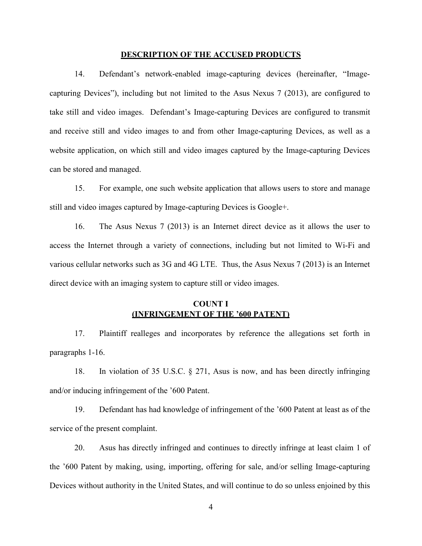#### **DESCRIPTION OF THE ACCUSED PRODUCTS**

14. Defendant's network-enabled image-capturing devices (hereinafter, "Imagecapturing Devices"), including but not limited to the Asus Nexus 7 (2013), are configured to take still and video images. Defendant's Image-capturing Devices are configured to transmit and receive still and video images to and from other Image-capturing Devices, as well as a website application, on which still and video images captured by the Image-capturing Devices can be stored and managed.

15. For example, one such website application that allows users to store and manage still and video images captured by Image-capturing Devices is Google+.

16. The Asus Nexus 7 (2013) is an Internet direct device as it allows the user to access the Internet through a variety of connections, including but not limited to Wi-Fi and various cellular networks such as 3G and 4G LTE. Thus, the Asus Nexus 7 (2013) is an Internet direct device with an imaging system to capture still or video images.

# **COUNT I (INFRINGEMENT OF THE '600 PATENT)**

17. Plaintiff realleges and incorporates by reference the allegations set forth in paragraphs 1-16.

18. In violation of 35 U.S.C. § 271, Asus is now, and has been directly infringing and/or inducing infringement of the '600 Patent.

19. Defendant has had knowledge of infringement of the '600 Patent at least as of the service of the present complaint.

20. Asus has directly infringed and continues to directly infringe at least claim 1 of the '600 Patent by making, using, importing, offering for sale, and/or selling Image-capturing Devices without authority in the United States, and will continue to do so unless enjoined by this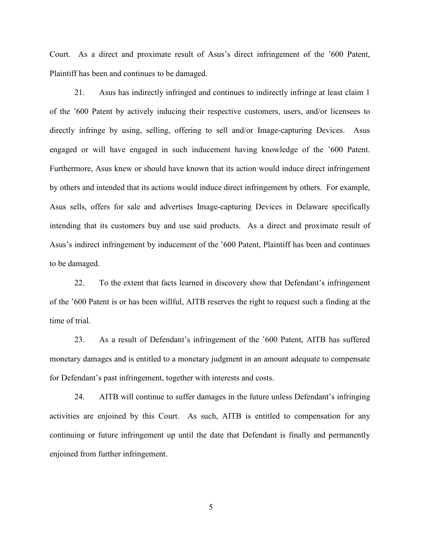Court. As a direct and proximate result of Asus's direct infringement of the '600 Patent, Plaintiff has been and continues to be damaged.

21. Asus has indirectly infringed and continues to indirectly infringe at least claim 1 of the '600 Patent by actively inducing their respective customers, users, and/or licensees to directly infringe by using, selling, offering to sell and/or Image-capturing Devices. Asus engaged or will have engaged in such inducement having knowledge of the '600 Patent. Furthermore, Asus knew or should have known that its action would induce direct infringement by others and intended that its actions would induce direct infringement by others. For example, Asus sells, offers for sale and advertises Image-capturing Devices in Delaware specifically intending that its customers buy and use said products. As a direct and proximate result of Asus's indirect infringement by inducement of the '600 Patent, Plaintiff has been and continues to be damaged.

22. To the extent that facts learned in discovery show that Defendant's infringement of the '600 Patent is or has been willful, AITB reserves the right to request such a finding at the time of trial.

23. As a result of Defendant's infringement of the '600 Patent, AITB has suffered monetary damages and is entitled to a monetary judgment in an amount adequate to compensate for Defendant's past infringement, together with interests and costs.

24. AITB will continue to suffer damages in the future unless Defendant's infringing activities are enjoined by this Court. As such, AITB is entitled to compensation for any continuing or future infringement up until the date that Defendant is finally and permanently enjoined from further infringement.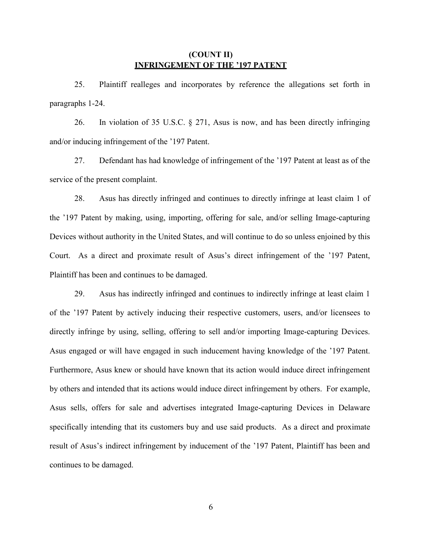# **(COUNT II) INFRINGEMENT OF THE '197 PATENT**

25. Plaintiff realleges and incorporates by reference the allegations set forth in paragraphs 1-24.

26. In violation of 35 U.S.C. § 271, Asus is now, and has been directly infringing and/or inducing infringement of the '197 Patent.

27. Defendant has had knowledge of infringement of the '197 Patent at least as of the service of the present complaint.

28. Asus has directly infringed and continues to directly infringe at least claim 1 of the '197 Patent by making, using, importing, offering for sale, and/or selling Image-capturing Devices without authority in the United States, and will continue to do so unless enjoined by this Court. As a direct and proximate result of Asus's direct infringement of the '197 Patent, Plaintiff has been and continues to be damaged.

29. Asus has indirectly infringed and continues to indirectly infringe at least claim 1 of the '197 Patent by actively inducing their respective customers, users, and/or licensees to directly infringe by using, selling, offering to sell and/or importing Image-capturing Devices. Asus engaged or will have engaged in such inducement having knowledge of the '197 Patent. Furthermore, Asus knew or should have known that its action would induce direct infringement by others and intended that its actions would induce direct infringement by others. For example, Asus sells, offers for sale and advertises integrated Image-capturing Devices in Delaware specifically intending that its customers buy and use said products. As a direct and proximate result of Asus's indirect infringement by inducement of the '197 Patent, Plaintiff has been and continues to be damaged.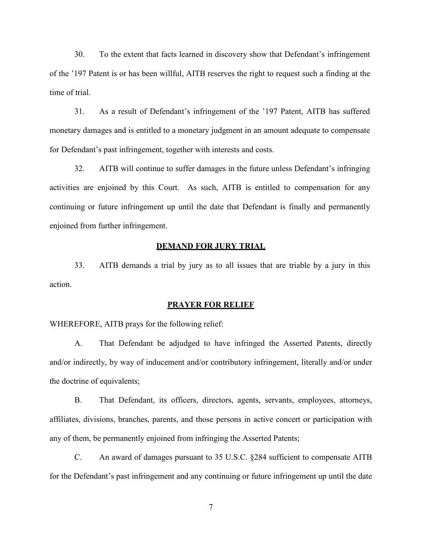30. To the extent that facts learned in discovery show that Defendant's infringement of the '197 Patent is or has been willful, AITB reserves the right to request such a finding at the time of trial.

31. As a result of Defendant's infringement of the '197 Patent, AITB has suffered monetary damages and is entitled to a monetary judgment in an amount adequate to compensate for Defendant's past infringement, together with interests and costs.

32. AITB will continue to suffer damages in the future unless Defendant's infringing activities are enjoined by this Court. As such, AITB is entitled to compensation for any continuing or future infringement up until the date that Defendant is finally and permanently enjoined from further infringement.

### **DEMAND FOR JURY TRIAL**

33. AITB demands a trial by jury as to all issues that are triable by a jury in this action.

### **PRAYER FOR RELIEF**

WHEREFORE, AITB prays for the following relief:

A. That Defendant be adjudged to have infringed the Asserted Patents, directly and/or indirectly, by way of inducement and/or contributory infringement, literally and/or under the doctrine of equivalents;

B. That Defendant, its officers, directors, agents, servants, employees, attorneys, affiliates, divisions, branches, parents, and those persons in active concert or participation with any of them, be permanently enjoined from infringing the Asserted Patents;

C. An award of damages pursuant to 35 U.S.C. §284 sufficient to compensate AITB for the Defendant's past infringement and any continuing or future infringement up until the date